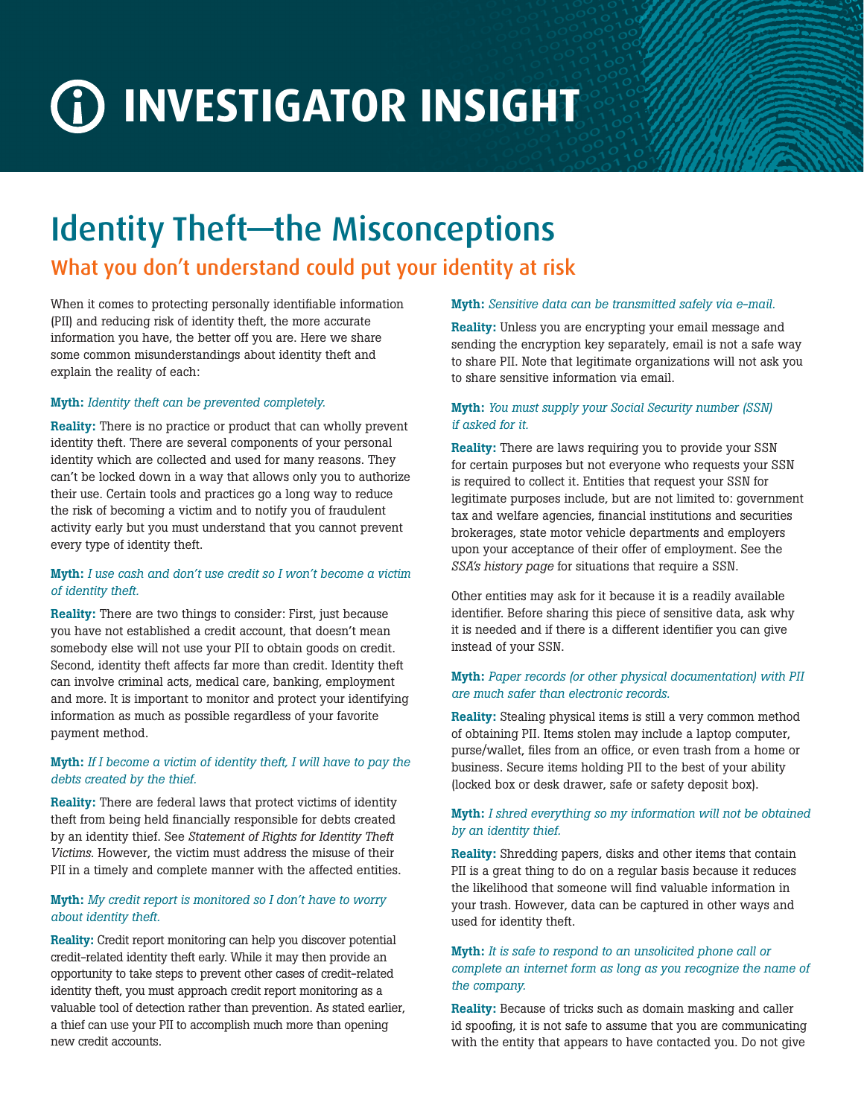# **INVESTIGATOR INSIGHT**

## Identity Theft—the Misconceptions

### What you don't understand could put your identity at risk

When it comes to protecting personally identifiable information (PII) and reducing risk of identity theft, the more accurate information you have, the better off you are. Here we share some common misunderstandings about identity theft and explain the reality of each:

#### Myth: *Identity theft can be prevented completely.*

Reality: There is no practice or product that can wholly prevent identity theft. There are several components of your personal identity which are collected and used for many reasons. They can't be locked down in a way that allows only you to authorize their use. Certain tools and practices go a long way to reduce the risk of becoming a victim and to notify you of fraudulent activity early but you must understand that you cannot prevent every type of identity theft.

#### Myth: *I use cash and don't use credit so I won't become a victim of identity theft.*

Reality: There are two things to consider: First, just because you have not established a credit account, that doesn't mean somebody else will not use your PII to obtain goods on credit. Second, identity theft affects far more than credit. Identity theft can involve criminal acts, medical care, banking, employment and more. It is important to monitor and protect your identifying information as much as possible regardless of your favorite payment method.

#### Myth: *If I become a victim of identity theft, I will have to pay the debts created by the thief.*

Reality: There are federal laws that protect victims of identity theft from being held financially responsible for debts created by an identity thief. See *[Statement of Rights for Identity Theft](http://www.consumer.ftc.gov/articles/0233-statement-rights-identity-theft-victims)  [Victims](http://www.consumer.ftc.gov/articles/0233-statement-rights-identity-theft-victims)*. However, the victim must address the misuse of their PII in a timely and complete manner with the affected entities.

#### Myth: *My credit report is monitored so I don't have to worry about identity theft.*

Reality: Credit report monitoring can help you discover potential credit-related identity theft early. While it may then provide an opportunity to take steps to prevent other cases of credit-related identity theft, you must approach credit report monitoring as a valuable tool of detection rather than prevention. As stated earlier, a thief can use your PII to accomplish much more than opening new credit accounts.

#### Myth: *Sensitive data can be transmitted safely via e-mail.*

Reality: Unless you are encrypting your email message and sending the encryption key separately, email is not a safe way to share PII. Note that legitimate organizations will not ask you to share sensitive information via email.

#### Myth: *You must supply your Social Security number (SSN) if asked for it.*

Reality: There are laws requiring you to provide your SSN for certain purposes but not everyone who requests your SSN is required to collect it. Entities that request your SSN for legitimate purposes include, but are not limited to: government tax and welfare agencies, financial institutions and securities brokerages, state motor vehicle departments and employers upon your acceptance of their offer of employment. See the *[SSA's history page](http://www.socialsecurity.gov/history/ssn/ssnchron.html)* for situations that require a SSN.

Other entities may ask for it because it is a readily available identifier. Before sharing this piece of sensitive data, ask why it is needed and if there is a different identifier you can give instead of your SSN.

#### Myth: *Paper records (or other physical documentation) with PII are much safer than electronic records.*

Reality: Stealing physical items is still a very common method of obtaining PII. Items stolen may include a laptop computer, purse/wallet, files from an office, or even trash from a home or business. Secure items holding PII to the best of your ability (locked box or desk drawer, safe or safety deposit box).

#### Myth: *I shred everything so my information will not be obtained by an identity thief.*

Reality: Shredding papers, disks and other items that contain PII is a great thing to do on a regular basis because it reduces the likelihood that someone will find valuable information in your trash. However, data can be captured in other ways and used for identity theft.

#### Myth: *It is safe to respond to an unsolicited phone call or complete an internet form as long as you recognize the name of the company.*

Reality: Because of tricks such as domain masking and caller id spoofing, it is not safe to assume that you are communicating with the entity that appears to have contacted you. Do not give